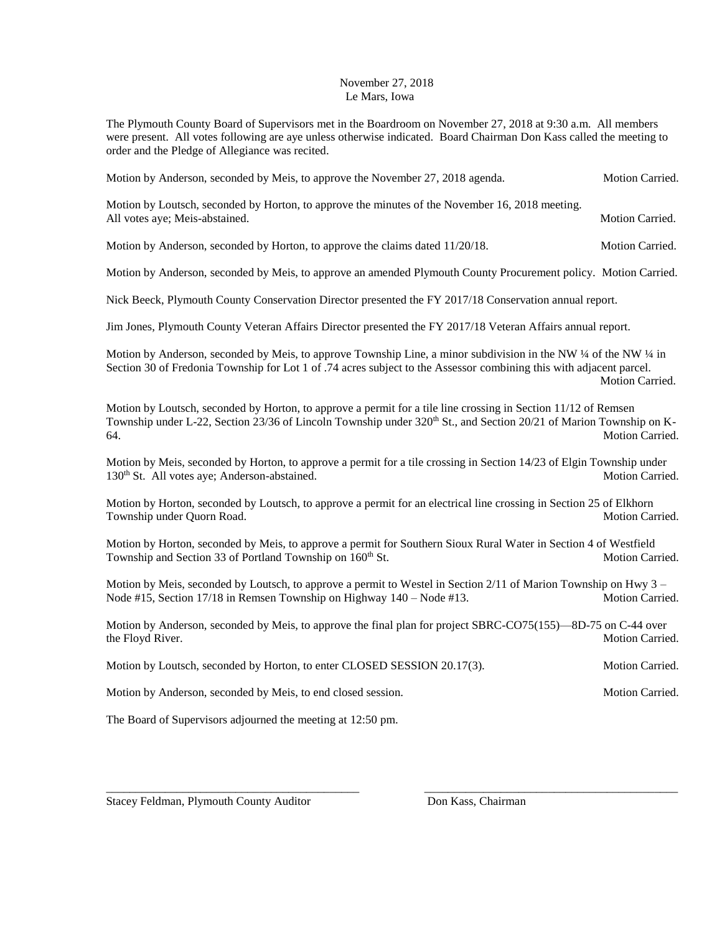## November 27, 2018 Le Mars, Iowa

The Plymouth County Board of Supervisors met in the Boardroom on November 27, 2018 at 9:30 a.m. All members were present. All votes following are aye unless otherwise indicated. Board Chairman Don Kass called the meeting to order and the Pledge of Allegiance was recited.

Motion by Anderson, seconded by Meis, to approve the November 27, 2018 agenda. Motion Carried. Motion by Loutsch, seconded by Horton, to approve the minutes of the November 16, 2018 meeting. All votes aye; Meis-abstained. The matrix of the state of the matrix of the Motion Carried. Motion by Anderson, seconded by Horton, to approve the claims dated  $11/20/18$ . Motion Carried. Motion by Anderson, seconded by Meis, to approve an amended Plymouth County Procurement policy. Motion Carried. Nick Beeck, Plymouth County Conservation Director presented the FY 2017/18 Conservation annual report. Jim Jones, Plymouth County Veteran Affairs Director presented the FY 2017/18 Veteran Affairs annual report. Motion by Anderson, seconded by Meis, to approve Township Line, a minor subdivision in the NW ¼ of the NW ¼ in Section 30 of Fredonia Township for Lot 1 of .74 acres subject to the Assessor combining this with adjacent parcel. Motion Carried. Motion by Loutsch, seconded by Horton, to approve a permit for a tile line crossing in Section 11/12 of Remsen Township under L-22, Section 23/36 of Lincoln Township under  $320<sup>th</sup>$  St., and Section 20/21 of Marion Township on K-64. Motion Carried. Motion by Meis, seconded by Horton, to approve a permit for a tile crossing in Section 14/23 of Elgin Township under 130<sup>th</sup> St. All votes aye; Anderson-abstained. Motion Carried. Motion Carried. Motion by Horton, seconded by Loutsch, to approve a permit for an electrical line crossing in Section 25 of Elkhorn Township under Quorn Road. Motion Carried. Motion Carried. Motion by Horton, seconded by Meis, to approve a permit for Southern Sioux Rural Water in Section 4 of Westfield Township and Section 33 of Portland Township on 160<sup>th</sup> St. Motion Carried. Motion by Meis, seconded by Loutsch, to approve a permit to Westel in Section  $2/11$  of Marion Township on Hwy  $3 -$ Node #15, Section 17/18 in Remsen Township on Highway 140 – Node #13. Motion Carried. Motion by Anderson, seconded by Meis, to approve the final plan for project SBRC-CO75(155)—8D-75 on C-44 over the Floyd River. Motion Carried. Motion Carried. Motion by Loutsch, seconded by Horton, to enter CLOSED SESSION 20.17(3). Motion Carried. Motion by Anderson, seconded by Meis, to end closed session. Motion Carried. Motion Carried.

\_\_\_\_\_\_\_\_\_\_\_\_\_\_\_\_\_\_\_\_\_\_\_\_\_\_\_\_\_\_\_\_\_\_\_\_\_\_\_\_\_\_\_ \_\_\_\_\_\_\_\_\_\_\_\_\_\_\_\_\_\_\_\_\_\_\_\_\_\_\_\_\_\_\_\_\_\_\_\_\_\_\_\_\_\_\_

The Board of Supervisors adjourned the meeting at 12:50 pm.

Stacey Feldman, Plymouth County Auditor Don Kass, Chairman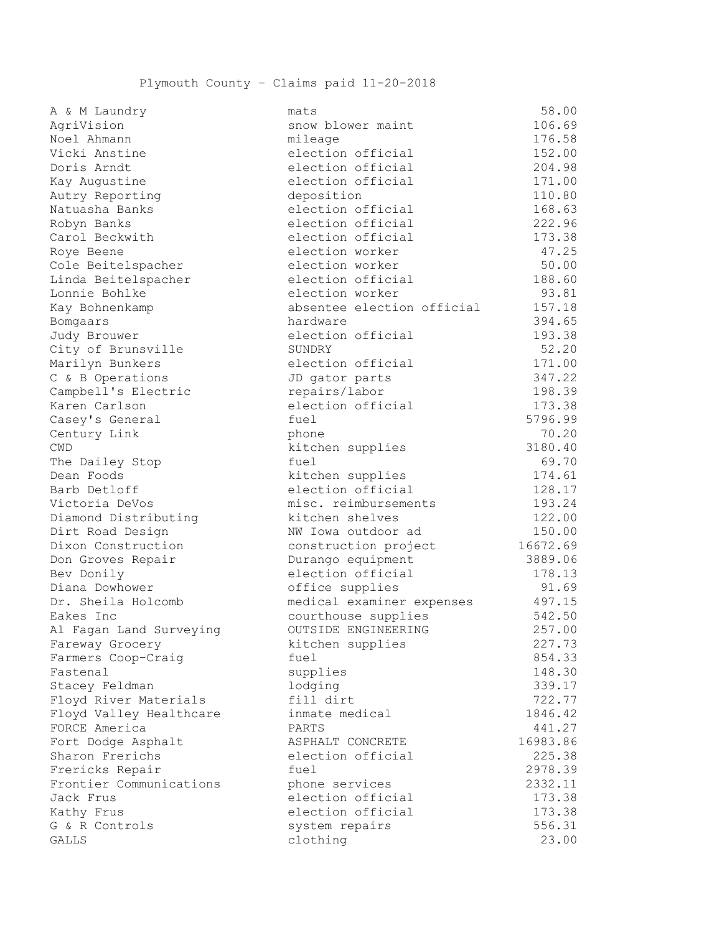| $\frac{11}{2}$ $\alpha$ $\frac{11}{2}$ $\frac{11}{2}$ $\alpha$ $\alpha$ |                            |          |
|-------------------------------------------------------------------------|----------------------------|----------|
| AgriVision                                                              | snow blower maint          | 106.69   |
| Noel Ahmann                                                             | mileage                    | 176.58   |
| Vicki Anstine                                                           | election official          | 152.00   |
| Doris Arndt                                                             | election official          | 204.98   |
| Kay Augustine                                                           | election official          | 171.00   |
| Autry Reporting                                                         | deposition                 | 110.80   |
| Natuasha Banks                                                          | election official          | 168.63   |
| Robyn Banks                                                             | election official          | 222.96   |
| Carol Beckwith                                                          | election official          | 173.38   |
| Roye Beene                                                              | election worker            | 47.25    |
| Cole Beitelspacher                                                      | election worker            | 50.00    |
| Linda Beitelspacher                                                     | election official          | 188.60   |
| Lonnie Bohlke                                                           | election worker            | 93.81    |
| Kay Bohnenkamp                                                          | absentee election official | 157.18   |
| Bomgaars                                                                | hardware                   | 394.65   |
| Judy Brouwer                                                            | election official          | 193.38   |
| City of Brunsville                                                      | SUNDRY                     | 52.20    |
| Marilyn Bunkers                                                         | election official          | 171.00   |
| C & B Operations                                                        | JD gator parts             | 347.22   |
| Campbell's Electric                                                     | repairs/labor              | 198.39   |
| Karen Carlson                                                           | election official          | 173.38   |
| Casey's General                                                         | fuel                       | 5796.99  |
| Century Link                                                            | phone                      | 70.20    |
| CWD                                                                     | kitchen supplies           | 3180.40  |
| The Dailey Stop                                                         | fuel                       | 69.70    |
| Dean Foods                                                              | kitchen supplies           | 174.61   |
| Barb Detloff                                                            | election official          | 128.17   |
| Victoria DeVos                                                          | misc. reimbursements       | 193.24   |
| Diamond Distributing                                                    | kitchen shelves            | 122.00   |
| Dirt Road Design                                                        | NW Iowa outdoor ad         | 150.00   |
| Dixon Construction                                                      | construction project       | 16672.69 |
| Don Groves Repair                                                       | Durango equipment          | 3889.06  |
| Bev Donily                                                              | election official          | 178.13   |
| Diana Dowhower                                                          | office supplies            | 91.69    |
| Dr. Sheila Holcomb                                                      | medical examiner expenses  | 497.15   |
| Eakes Inc                                                               | courthouse supplies        | 542.50   |
| Al Fagan Land Surveying                                                 | OUTSIDE ENGINEERING        | 257.00   |
| Fareway Grocery                                                         | kitchen supplies           | 227.73   |
| Farmers Coop-Craig                                                      | fuel                       | 854.33   |
| Fastenal                                                                | supplies                   | 148.30   |
| Stacey Feldman                                                          | lodging                    | 339.17   |
| Floyd River Materials                                                   | fill dirt                  | 722.77   |
| Floyd Valley Healthcare                                                 | inmate medical             | 1846.42  |
| FORCE America                                                           | PARTS                      | 441.27   |
| Fort Dodge Asphalt                                                      | ASPHALT CONCRETE           | 16983.86 |
| Sharon Frerichs                                                         | election official          | 225.38   |
| Frericks Repair                                                         | fuel                       | 2978.39  |
| Frontier Communications                                                 | phone services             | 2332.11  |
| Jack Frus                                                               | election official          | 173.38   |
| Kathy Frus                                                              | election official          | 173.38   |
| G & R Controls                                                          | system repairs             | 556.31   |
| GALLS                                                                   | clothing                   | 23.00    |
|                                                                         |                            |          |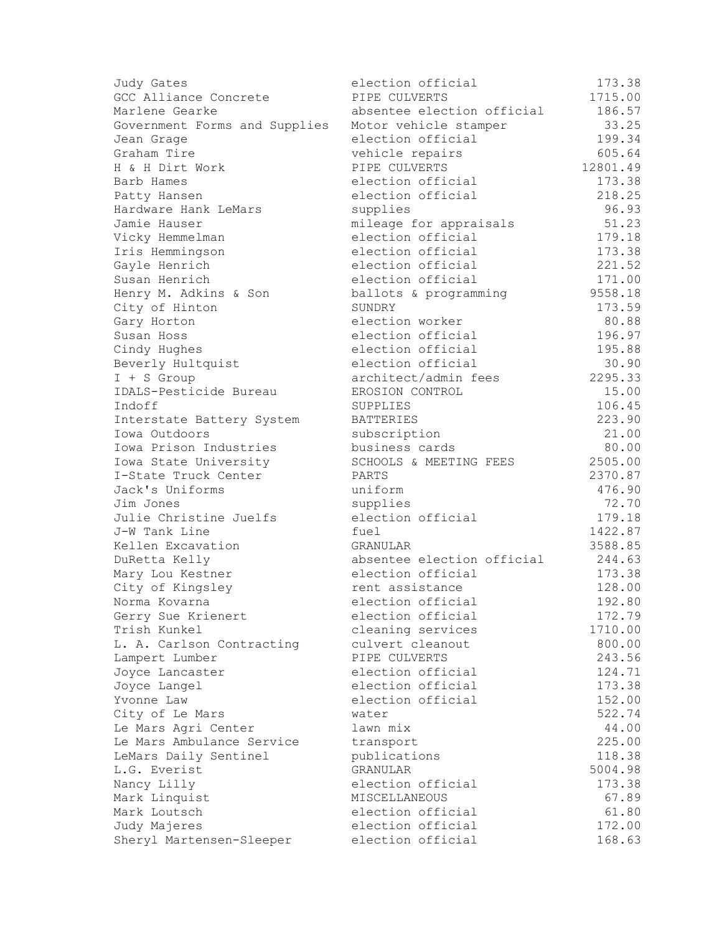| Judy Gates                    | election official          | 173.38   |
|-------------------------------|----------------------------|----------|
| GCC Alliance Concrete         | PIPE CULVERTS              | 1715.00  |
| Marlene Gearke                | absentee election official | 186.57   |
| Government Forms and Supplies | Motor vehicle stamper      | 33.25    |
| Jean Grage                    | election official          | 199.34   |
| Graham Tire                   | vehicle repairs            | 605.64   |
| H & H Dirt Work               | PIPE CULVERTS              | 12801.49 |
| Barb Hames                    | election official          | 173.38   |
| Patty Hansen                  | election official          | 218.25   |
| Hardware Hank LeMars          | supplies                   | 96.93    |
| Jamie Hauser                  | mileage for appraisals     | 51.23    |
| Vicky Hemmelman               | election official          | 179.18   |
| Iris Hemmingson               | election official          | 173.38   |
| Gayle Henrich                 | election official          | 221.52   |
| Susan Henrich                 | election official          | 171.00   |
| Henry M. Adkins & Son         | ballots & programming      | 9558.18  |
| City of Hinton                | SUNDRY                     | 173.59   |
| Gary Horton                   | election worker            | 80.88    |
| Susan Hoss                    | election official          | 196.97   |
| Cindy Hughes                  | election official          | 195.88   |
| Beverly Hultquist             | election official          | 30.90    |
| I + S Group                   | architect/admin fees       | 2295.33  |
| IDALS-Pesticide Bureau        | EROSION CONTROL            | 15.00    |
| Indoff                        | SUPPLIES                   | 106.45   |
| Interstate Battery System     | <b>BATTERIES</b>           | 223.90   |
| Iowa Outdoors                 | subscription               | 21.00    |
| Iowa Prison Industries        | business cards             | 80.00    |
| Iowa State University         | SCHOOLS & MEETING FEES     | 2505.00  |
| I-State Truck Center          | PARTS                      | 2370.87  |
| Jack's Uniforms               | uniform                    | 476.90   |
| Jim Jones                     | supplies                   | 72.70    |
| Julie Christine Juelfs        | election official          | 179.18   |
| J-W Tank Line                 | fuel                       | 1422.87  |
| Kellen Excavation             | GRANULAR                   | 3588.85  |
| DuRetta Kelly                 | absentee election official | 244.63   |
| Mary Lou Kestner              | election official          | 173.38   |
| City of Kingsley              | rent assistance            | 128.00   |
| Norma Kovarna                 | election official          | 192.80   |
| Gerry Sue Krienert            | election official          | 172.79   |
| Trish Kunkel                  | cleaning services          | 1710.00  |
| L. A. Carlson Contracting     | culvert cleanout           | 800.00   |
| Lampert Lumber                | PIPE CULVERTS              | 243.56   |
| Joyce Lancaster               | election official          | 124.71   |
| Joyce Langel                  | election official          | 173.38   |
| Yvonne Law                    | election official          | 152.00   |
| City of Le Mars               | water                      | 522.74   |
| Le Mars Agri Center           | lawn mix                   | 44.00    |
| Le Mars Ambulance Service     | transport                  | 225.00   |
| LeMars Daily Sentinel         | publications               | 118.38   |
| L.G. Everist                  | <b>GRANULAR</b>            | 5004.98  |
| Nancy Lilly                   | election official          | 173.38   |
| Mark Linquist                 | MISCELLANEOUS              | 67.89    |
| Mark Loutsch                  | election official          | 61.80    |
| Judy Majeres                  | election official          | 172.00   |
| Sheryl Martensen-Sleeper      | election official          | 168.63   |
|                               |                            |          |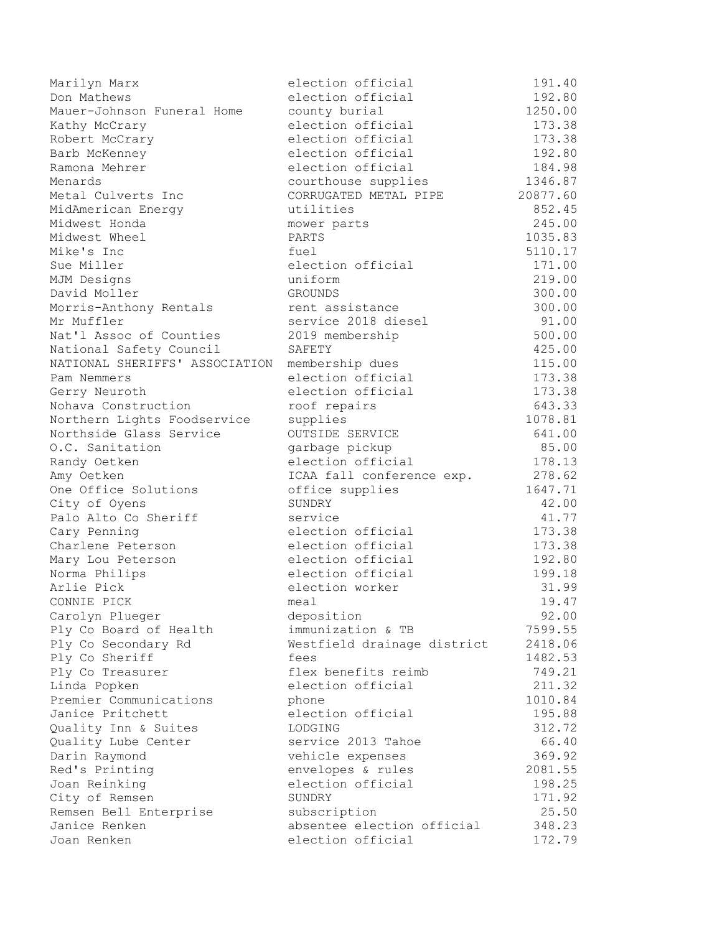| Marilyn Marx                          | election official           | 191.40   |
|---------------------------------------|-----------------------------|----------|
| Don Mathews                           | election official           | 192.80   |
| Mauer-Johnson Funeral Home            | county burial               | 1250.00  |
| Kathy McCrary                         | election official           | 173.38   |
| Robert McCrary                        | election official           | 173.38   |
| Barb McKenney                         | election official           | 192.80   |
| Ramona Mehrer                         | election official           | 184.98   |
| Menards                               | courthouse supplies         | 1346.87  |
| Metal Culverts Inc                    | CORRUGATED METAL PIPE       | 20877.60 |
| MidAmerican Energy                    | utilities                   | 852.45   |
| Midwest Honda                         | mower parts                 | 245.00   |
| Midwest Wheel                         | PARTS                       | 1035.83  |
| Mike's Inc                            | fuel                        | 5110.17  |
| Sue Miller                            | election official           | 171.00   |
| MJM Designs                           | uniform                     | 219.00   |
| David Moller                          | GROUNDS                     | 300.00   |
| Morris-Anthony Rentals                | rent assistance             | 300.00   |
| Mr Muffler                            | service 2018 diesel         | 91.00    |
| Nat'l Assoc of Counties               | 2019 membership             | 500.00   |
| National Safety Council               | SAFETY                      | 425.00   |
| NATIONAL SHERIFFS' ASSOCIATION        | membership dues             | 115.00   |
| Pam Nemmers                           | election official           | 173.38   |
| Gerry Neuroth                         | election official           | 173.38   |
| Nohava Construction                   | roof repairs                | 643.33   |
| Northern Lights Foodservice           | supplies                    | 1078.81  |
| Northside Glass Service               | OUTSIDE SERVICE             | 641.00   |
| O.C. Sanitation                       | garbage pickup              | 85.00    |
| Randy Oetken                          | election official           | 178.13   |
| Amy Oetken                            | ICAA fall conference exp.   | 278.62   |
| One Office Solutions                  |                             | 1647.71  |
|                                       | office supplies<br>SUNDRY   | 42.00    |
| City of Oyens<br>Palo Alto Co Sheriff | service                     | 41.77    |
|                                       |                             |          |
| Cary Penning                          | election official           | 173.38   |
| Charlene Peterson                     | election official           | 173.38   |
| Mary Lou Peterson                     | election official           | 192.80   |
| Norma Philips                         | election official           | 199.18   |
| Arlie Pick                            | election worker             | 31.99    |
| CONNIE PICK                           | meal                        | 19.47    |
| Carolyn Plueger                       | deposition                  | 92.00    |
| Ply Co Board of Health                | immunization & TB           | 7599.55  |
| Ply Co Secondary Rd                   | Westfield drainage district | 2418.06  |
| Ply Co Sheriff                        | fees                        | 1482.53  |
| Ply Co Treasurer                      | flex benefits reimb         | 749.21   |
| Linda Popken                          | election official           | 211.32   |
| Premier Communications                | phone                       | 1010.84  |
| Janice Pritchett                      | election official           | 195.88   |
| Quality Inn & Suites                  | LODGING                     | 312.72   |
| Quality Lube Center                   | service 2013 Tahoe          | 66.40    |
| Darin Raymond                         | vehicle expenses            | 369.92   |
| Red's Printing                        | envelopes & rules           | 2081.55  |
| Joan Reinking                         | election official           | 198.25   |
| City of Remsen                        | SUNDRY                      | 171.92   |
| Remsen Bell Enterprise                | subscription                | 25.50    |
| Janice Renken                         | absentee election official  | 348.23   |
| Joan Renken                           | election official           | 172.79   |